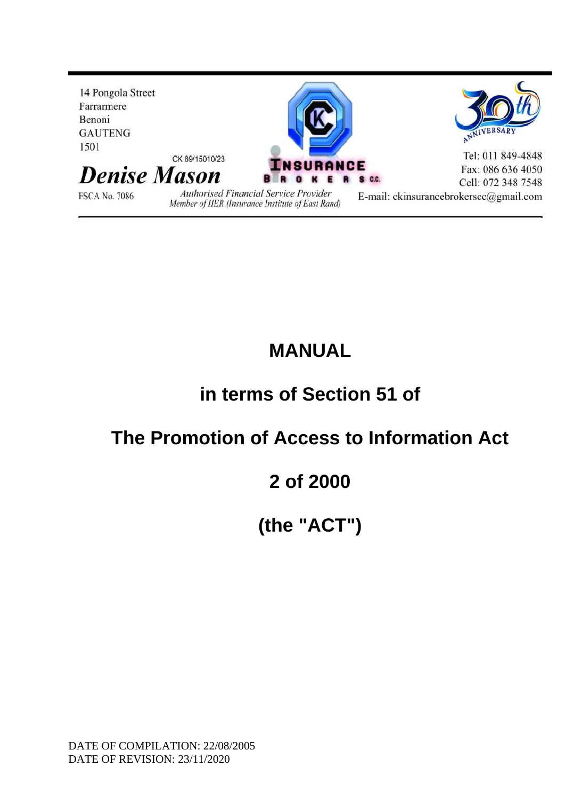

### **MANUAL**

# **in terms of Section 51 of**

### **The Promotion of Access to Information Act**

### **2 of 2000**

# **(the "ACT")**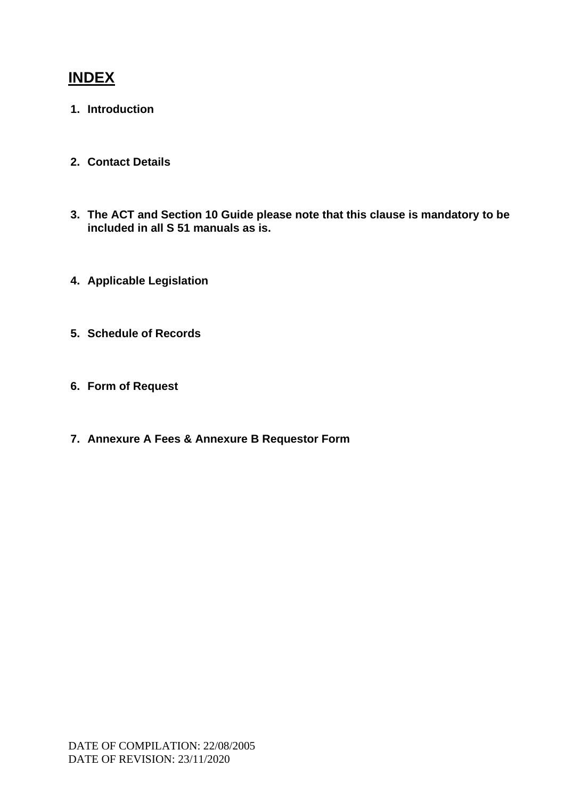### **INDEX**

- **1. Introduction**
- **2. Contact Details**
- **3. The ACT and Section 10 Guide please note that this clause is mandatory to be included in all S 51 manuals as is.**
- **4. Applicable Legislation**
- **5. Schedule of Records**
- **6. Form of Request**
- **7. Annexure A Fees & Annexure B Requestor Form**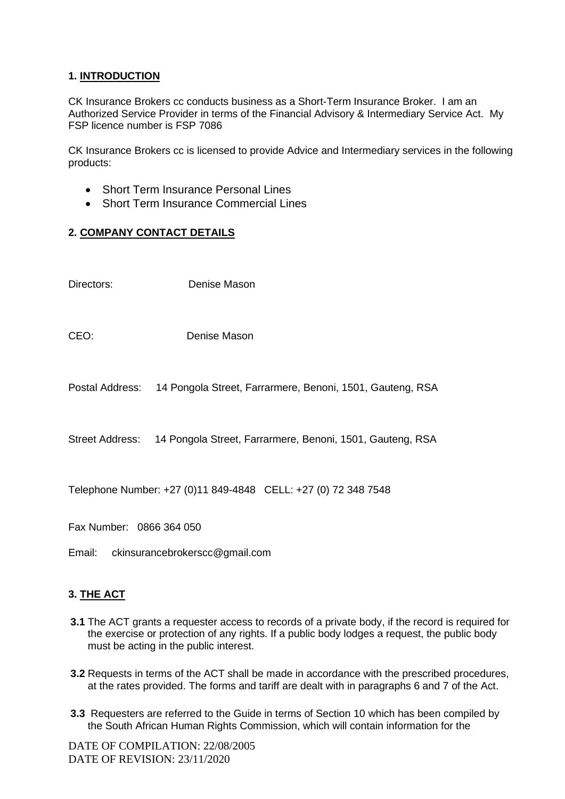#### **1. INTRODUCTION**

CK Insurance Brokers cc conducts business as a Short-Term Insurance Broker. I am an Authorized Service Provider in terms of the Financial Advisory & Intermediary Service Act. My FSP licence number is FSP 7086

CK Insurance Brokers cc is licensed to provide Advice and Intermediary services in the following products:

- Short Term Insurance Personal Lines
- Short Term Insurance Commercial Lines

#### **2. COMPANY CONTACT DETAILS**

- Directors: Denise Mason
- CEO: Denise Mason
- Postal Address: 14 Pongola Street, Farrarmere, Benoni, 1501, Gauteng, RSA

Street Address: 14 Pongola Street, Farrarmere, Benoni, 1501, Gauteng, RSA

Telephone Number: +27 (0)11 849-4848 CELL: +27 (0) 72 348 7548

Fax Number: 0866 364 050

Email: ckinsurancebrokerscc@gmail.com

#### **3. THE ACT**

- **3.1** The ACT grants a requester access to records of a private body, if the record is required for the exercise or protection of any rights. If a public body lodges a request, the public body must be acting in the public interest.
- **3.2** Requests in terms of the ACT shall be made in accordance with the prescribed procedures, at the rates provided. The forms and tariff are dealt with in paragraphs 6 and 7 of the Act.
- **3.3** Requesters are referred to the Guide in terms of Section 10 which has been compiled by the South African Human Rights Commission, which will contain information for the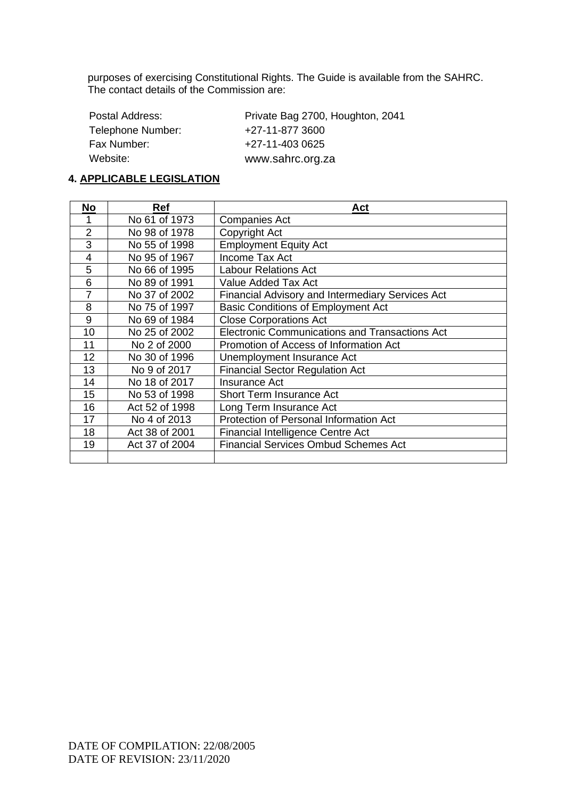purposes of exercising Constitutional Rights. The Guide is available from the SAHRC. The contact details of the Commission are:

| Postal Address:   | Private Bag 2700, Houghton, 2041 |
|-------------------|----------------------------------|
| Telephone Number: | +27-11-877 3600                  |
| Fax Number:       | +27-11-403 0625                  |
| Website:          | www.sahrc.org.za                 |

#### **4. APPLICABLE LEGISLATION**

| No             | <b>Ref</b>     | Act                                                     |
|----------------|----------------|---------------------------------------------------------|
|                | No 61 of 1973  | <b>Companies Act</b>                                    |
| $\overline{2}$ | No 98 of 1978  | Copyright Act                                           |
| 3              | No 55 of 1998  | <b>Employment Equity Act</b>                            |
| 4              | No 95 of 1967  | Income Tax Act                                          |
| 5              | No 66 of 1995  | Labour Relations Act                                    |
| 6              | No 89 of 1991  | Value Added Tax Act                                     |
| 7              | No 37 of 2002  | <b>Financial Advisory and Intermediary Services Act</b> |
| 8              | No 75 of 1997  | <b>Basic Conditions of Employment Act</b>               |
| 9              | No 69 of 1984  | <b>Close Corporations Act</b>                           |
| 10             | No 25 of 2002  | Electronic Communications and Transactions Act          |
| 11             | No 2 of 2000   | Promotion of Access of Information Act                  |
| 12             | No 30 of 1996  | Unemployment Insurance Act                              |
| 13             | No 9 of 2017   | <b>Financial Sector Regulation Act</b>                  |
| 14             | No 18 of 2017  | <b>Insurance Act</b>                                    |
| 15             | No 53 of 1998  | Short Term Insurance Act                                |
| 16             | Act 52 of 1998 | Long Term Insurance Act                                 |
| 17             | No 4 of 2013   | Protection of Personal Information Act                  |
| 18             | Act 38 of 2001 | Financial Intelligence Centre Act                       |
| 19             | Act 37 of 2004 | <b>Financial Services Ombud Schemes Act</b>             |
|                |                |                                                         |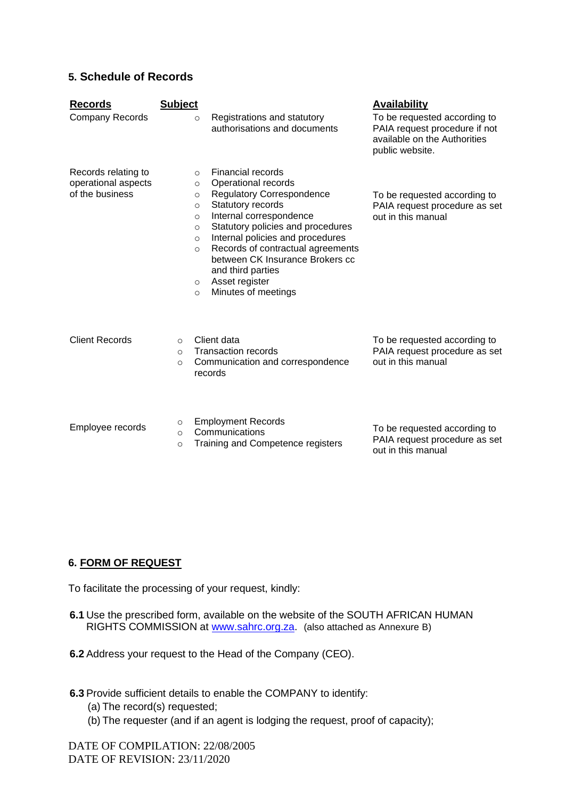#### **5. Schedule of Records**

| <b>Records</b><br><b>Company Records</b>                      | <b>Subject</b><br>$\circ$                                                                             | Registrations and statutory<br>authorisations and documents                                                                                                                                                                                                                                                                                 | <b>Availability</b><br>To be requested according to<br>PAIA request procedure if not<br>available on the Authorities<br>public website. |
|---------------------------------------------------------------|-------------------------------------------------------------------------------------------------------|---------------------------------------------------------------------------------------------------------------------------------------------------------------------------------------------------------------------------------------------------------------------------------------------------------------------------------------------|-----------------------------------------------------------------------------------------------------------------------------------------|
| Records relating to<br>operational aspects<br>of the business | $\Omega$<br>$\circ$<br>$\circ$<br>$\circ$<br>$\circ$<br>$\circ$<br>$\circ$<br>$\circ$<br>O<br>$\circ$ | Financial records<br>Operational records<br><b>Regulatory Correspondence</b><br>Statutory records<br>Internal correspondence<br>Statutory policies and procedures<br>Internal policies and procedures<br>Records of contractual agreements<br>between CK Insurance Brokers cc<br>and third parties<br>Asset register<br>Minutes of meetings | To be requested according to<br>PAIA request procedure as set<br>out in this manual                                                     |
| <b>Client Records</b>                                         | $\Omega$<br>$\Omega$<br>$\circ$                                                                       | Client data<br><b>Transaction records</b><br>Communication and correspondence<br>records                                                                                                                                                                                                                                                    | To be requested according to<br>PAIA request procedure as set<br>out in this manual                                                     |
| Employee records                                              | $\circ$<br>$\Omega$<br>$\circ$                                                                        | <b>Employment Records</b><br>Communications<br>Training and Competence registers                                                                                                                                                                                                                                                            | To be requested according to<br>PAIA request procedure as set<br>out in this manual                                                     |

#### **6. FORM OF REQUEST**

To facilitate the processing of your request, kindly:

- **6.1** Use the prescribed form, available on the website of the SOUTH AFRICAN HUMAN RIGHTS COMMISSION at [www.sahrc.org.za.](http://www.sahrc.org.za/) (also attached as Annexure B)
- **6.2** Address your request to the Head of the Company (CEO).
- **6.3** Provide sufficient details to enable the COMPANY to identify:
	- (a) The record(s) requested;
	- (b) The requester (and if an agent is lodging the request, proof of capacity);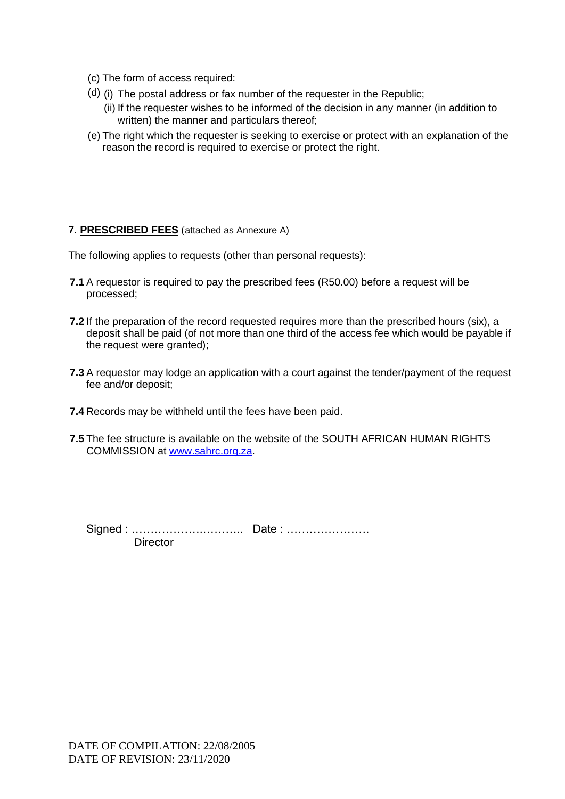- (c) The form of access required:
- (d) (i) The postal address or fax number of the requester in the Republic;
	- (ii) If the requester wishes to be informed of the decision in any manner (in addition to written) the manner and particulars thereof;
- (e) The right which the requester is seeking to exercise or protect with an explanation of the reason the record is required to exercise or protect the right.

#### **7**. **PRESCRIBED FEES** (attached as Annexure A)

The following applies to requests (other than personal requests):

- **7.1** A requestor is required to pay the prescribed fees (R50.00) before a request will be processed;
- **7.2** If the preparation of the record requested requires more than the prescribed hours (six), a deposit shall be paid (of not more than one third of the access fee which would be payable if the request were granted);
- **7.3** A requestor may lodge an application with a court against the tender/payment of the request fee and/or deposit;
- **7.4** Records may be withheld until the fees have been paid.
- **7.5** The fee structure is available on the website of the SOUTH AFRICAN HUMAN RIGHTS COMMISSION at [www.sahrc.org.za.](http://www.sahrc.org.za/)

Signed : ……………….……….. Date : …………………. **Director**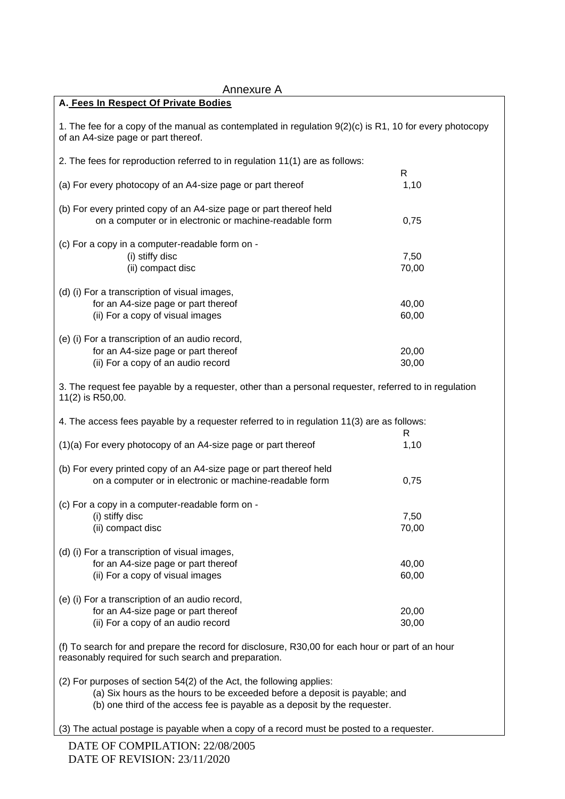| Annexure A                                                                                                                                                                                                                      |                |
|---------------------------------------------------------------------------------------------------------------------------------------------------------------------------------------------------------------------------------|----------------|
| A. Fees In Respect Of Private Bodies                                                                                                                                                                                            |                |
| 1. The fee for a copy of the manual as contemplated in regulation 9(2)(c) is R1, 10 for every photocopy<br>of an A4-size page or part thereof.                                                                                  |                |
| 2. The fees for reproduction referred to in regulation 11(1) are as follows:                                                                                                                                                    |                |
| (a) For every photocopy of an A4-size page or part thereof                                                                                                                                                                      | R<br>1,10      |
| (b) For every printed copy of an A4-size page or part thereof held<br>on a computer or in electronic or machine-readable form                                                                                                   | 0,75           |
| (c) For a copy in a computer-readable form on -<br>(i) stiffy disc                                                                                                                                                              | 7,50           |
| (ii) compact disc                                                                                                                                                                                                               | 70,00          |
| (d) (i) For a transcription of visual images,                                                                                                                                                                                   |                |
| for an A4-size page or part thereof                                                                                                                                                                                             | 40,00          |
| (ii) For a copy of visual images                                                                                                                                                                                                | 60,00          |
| (e) (i) For a transcription of an audio record,                                                                                                                                                                                 |                |
| for an A4-size page or part thereof                                                                                                                                                                                             | 20,00          |
| (ii) For a copy of an audio record                                                                                                                                                                                              | 30,00          |
| 3. The request fee payable by a requester, other than a personal requester, referred to in regulation<br>11(2) is R50,00.                                                                                                       |                |
| 4. The access fees payable by a requester referred to in regulation 11(3) are as follows:                                                                                                                                       | R              |
| (1)(a) For every photocopy of an A4-size page or part thereof                                                                                                                                                                   | 1,10           |
| (b) For every printed copy of an A4-size page or part thereof held<br>on a computer or in electronic or machine-readable form                                                                                                   | 0,75           |
| (c) For a copy in a computer-readable form on -                                                                                                                                                                                 |                |
| (i) stiffy disc                                                                                                                                                                                                                 | 7,50           |
| (ii) compact disc                                                                                                                                                                                                               | 70,00          |
| (d) (i) For a transcription of visual images,<br>for an A4-size page or part thereof<br>(ii) For a copy of visual images                                                                                                        | 40,00<br>60,00 |
| (e) (i) For a transcription of an audio record,                                                                                                                                                                                 |                |
| for an A4-size page or part thereof                                                                                                                                                                                             | 20,00          |
| (ii) For a copy of an audio record                                                                                                                                                                                              | 30,00          |
| (f) To search for and prepare the record for disclosure, R30,00 for each hour or part of an hour<br>reasonably required for such search and preparation.                                                                        |                |
| (2) For purposes of section 54(2) of the Act, the following applies:<br>(a) Six hours as the hours to be exceeded before a deposit is payable; and<br>(b) one third of the access fee is payable as a deposit by the requester. |                |
| (3) The actual postage is payable when a copy of a record must be posted to a requester.                                                                                                                                        |                |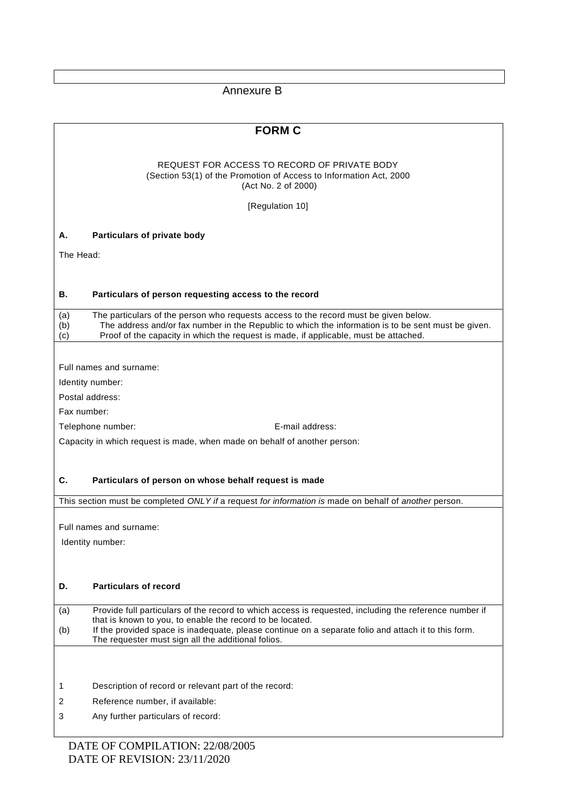Annexure B

| REQUEST FOR ACCESS TO RECORD OF PRIVATE BODY                                                                                                                                                                                                                                                             |
|----------------------------------------------------------------------------------------------------------------------------------------------------------------------------------------------------------------------------------------------------------------------------------------------------------|
|                                                                                                                                                                                                                                                                                                          |
| (Section 53(1) of the Promotion of Access to Information Act, 2000<br>(Act No. 2 of 2000)                                                                                                                                                                                                                |
| [Regulation 10]                                                                                                                                                                                                                                                                                          |
|                                                                                                                                                                                                                                                                                                          |
| Particulars of private body<br>А.                                                                                                                                                                                                                                                                        |
| The Head:                                                                                                                                                                                                                                                                                                |
|                                                                                                                                                                                                                                                                                                          |
| В.<br>Particulars of person requesting access to the record                                                                                                                                                                                                                                              |
| The particulars of the person who requests access to the record must be given below.<br>(a)<br>The address and/or fax number in the Republic to which the information is to be sent must be given.<br>(b)<br>Proof of the capacity in which the request is made, if applicable, must be attached.<br>(c) |
|                                                                                                                                                                                                                                                                                                          |
| Full names and surname:                                                                                                                                                                                                                                                                                  |
| Identity number:                                                                                                                                                                                                                                                                                         |
| Postal address:                                                                                                                                                                                                                                                                                          |
| Fax number:                                                                                                                                                                                                                                                                                              |
| E-mail address:<br>Telephone number:                                                                                                                                                                                                                                                                     |
| Capacity in which request is made, when made on behalf of another person:                                                                                                                                                                                                                                |
|                                                                                                                                                                                                                                                                                                          |
| C.<br>Particulars of person on whose behalf request is made                                                                                                                                                                                                                                              |
| This section must be completed ONLY if a request for information is made on behalf of another person.                                                                                                                                                                                                    |
|                                                                                                                                                                                                                                                                                                          |
| Full names and surname:                                                                                                                                                                                                                                                                                  |
| Identity number:                                                                                                                                                                                                                                                                                         |
|                                                                                                                                                                                                                                                                                                          |
|                                                                                                                                                                                                                                                                                                          |
| <b>Particulars of record</b><br>D.                                                                                                                                                                                                                                                                       |
| Provide full particulars of the record to which access is requested, including the reference number if<br>(a)                                                                                                                                                                                            |
| that is known to you, to enable the record to be located.<br>If the provided space is inadequate, please continue on a separate folio and attach it to this form.                                                                                                                                        |
| (b)<br>The requester must sign all the additional folios.                                                                                                                                                                                                                                                |
|                                                                                                                                                                                                                                                                                                          |
|                                                                                                                                                                                                                                                                                                          |
| Description of record or relevant part of the record:<br>1                                                                                                                                                                                                                                               |
| Reference number, if available:<br>2                                                                                                                                                                                                                                                                     |
| 3<br>Any further particulars of record:                                                                                                                                                                                                                                                                  |
|                                                                                                                                                                                                                                                                                                          |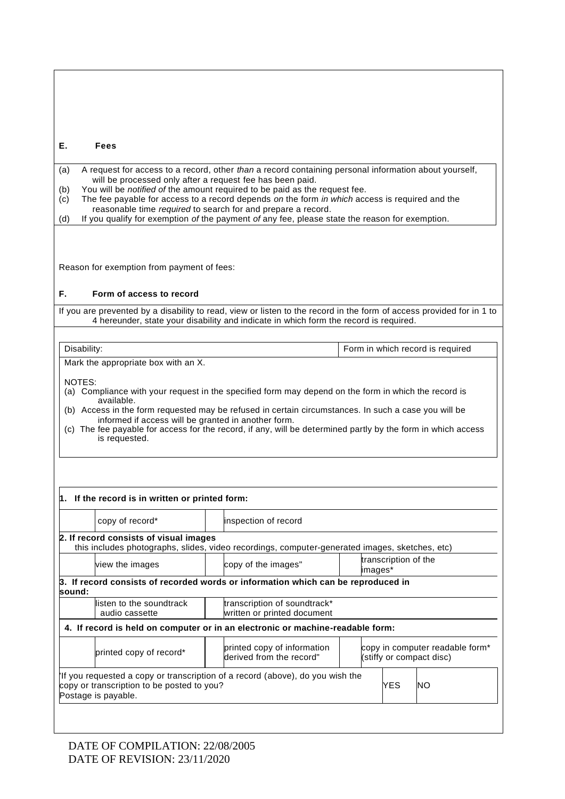| Е.<br><b>Fees</b>                                                                                                                                                                                                                                                                                                                                                                                                                                                                                                                                |                                                                                                |         |                      |                                                             |
|--------------------------------------------------------------------------------------------------------------------------------------------------------------------------------------------------------------------------------------------------------------------------------------------------------------------------------------------------------------------------------------------------------------------------------------------------------------------------------------------------------------------------------------------------|------------------------------------------------------------------------------------------------|---------|----------------------|-------------------------------------------------------------|
| A request for access to a record, other than a record containing personal information about yourself,<br>(a)<br>will be processed only after a request fee has been paid.<br>You will be notified of the amount required to be paid as the request fee.<br>(b)<br>The fee payable for access to a record depends on the form in which access is required and the<br>(c)<br>reasonable time required to search for and prepare a record.<br>If you qualify for exemption of the payment of any fee, please state the reason for exemption.<br>(d) |                                                                                                |         |                      |                                                             |
| Reason for exemption from payment of fees:                                                                                                                                                                                                                                                                                                                                                                                                                                                                                                       |                                                                                                |         |                      |                                                             |
| Form of access to record<br>F.                                                                                                                                                                                                                                                                                                                                                                                                                                                                                                                   |                                                                                                |         |                      |                                                             |
| If you are prevented by a disability to read, view or listen to the record in the form of access provided for in 1 to                                                                                                                                                                                                                                                                                                                                                                                                                            | 4 hereunder, state your disability and indicate in which form the record is required.          |         |                      |                                                             |
|                                                                                                                                                                                                                                                                                                                                                                                                                                                                                                                                                  |                                                                                                |         |                      |                                                             |
| Disability:<br>Mark the appropriate box with an X.                                                                                                                                                                                                                                                                                                                                                                                                                                                                                               |                                                                                                |         |                      | Form in which record is required                            |
| NOTES:<br>(a) Compliance with your request in the specified form may depend on the form in which the record is<br>available.<br>(b) Access in the form requested may be refused in certain circumstances. In such a case you will be<br>informed if access will be granted in another form.<br>(c) The fee payable for access for the record, if any, will be determined partly by the form in which access<br>is requested.                                                                                                                     |                                                                                                |         |                      |                                                             |
| 1. If the record is in written or printed form:                                                                                                                                                                                                                                                                                                                                                                                                                                                                                                  |                                                                                                |         |                      |                                                             |
| copy of record*                                                                                                                                                                                                                                                                                                                                                                                                                                                                                                                                  | inspection of record                                                                           |         |                      |                                                             |
| 2. If record consists of visual images                                                                                                                                                                                                                                                                                                                                                                                                                                                                                                           | this includes photographs, slides, video recordings, computer-generated images, sketches, etc) |         |                      |                                                             |
| view the images                                                                                                                                                                                                                                                                                                                                                                                                                                                                                                                                  | copy of the images"                                                                            | images* | transcription of the |                                                             |
| 3. If record consists of recorded words or information which can be reproduced in<br>sound:                                                                                                                                                                                                                                                                                                                                                                                                                                                      |                                                                                                |         |                      |                                                             |
| listen to the soundtrack<br>audio cassette                                                                                                                                                                                                                                                                                                                                                                                                                                                                                                       | transcription of soundtrack*<br>written or printed document                                    |         |                      |                                                             |
| 4. If record is held on computer or in an electronic or machine-readable form:                                                                                                                                                                                                                                                                                                                                                                                                                                                                   |                                                                                                |         |                      |                                                             |
| printed copy of record*                                                                                                                                                                                                                                                                                                                                                                                                                                                                                                                          | printed copy of information<br>derived from the record"                                        |         |                      | copy in computer readable form*<br>(stiffy or compact disc) |
| If you requested a copy or transcription of a record (above), do you wish the<br>copy or transcription to be posted to you?<br>Postage is payable.                                                                                                                                                                                                                                                                                                                                                                                               |                                                                                                |         | YES                  | NΟ                                                          |
|                                                                                                                                                                                                                                                                                                                                                                                                                                                                                                                                                  |                                                                                                |         |                      |                                                             |

 $\sqrt{ }$